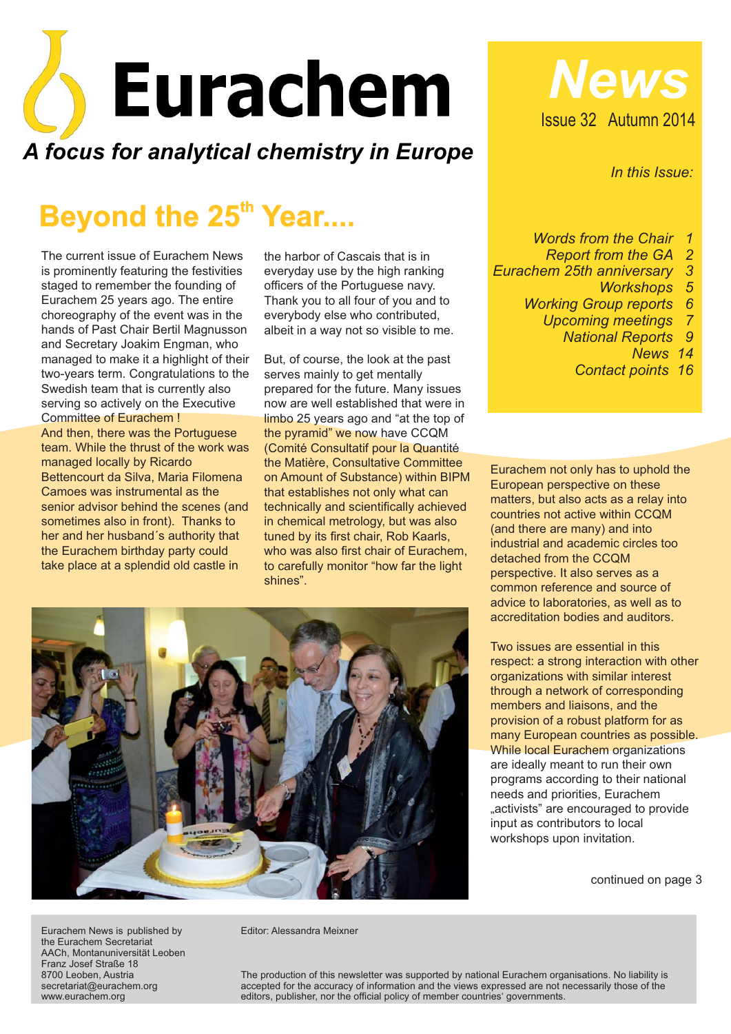

# **Beyond the 25<sup>th</sup> Year....**

The current issue of Eurachem News is prominently featuring the festivities staged to remember the founding of Eurachem 25 years ago. The entire choreography of the event was in the hands of Past Chair Bertil Magnusson and Secretary Joakim Engman, who managed to make it a highlight of their two-years term. Congratulations to the Swedish team that is currently also serving so actively on the Executive Committee of Eurachem ! And then, there was the Portuguese team. While the thrust of the work was managed locally by Ricardo Bettencourt da Silva, Maria Filomena Camoes was instrumental as the senior advisor behind the scenes (and sometimes also in front). Thanks to her and her husband´s authority that the Eurachem birthday party could take place at a splendid old castle in

the harbor of Cascais that is in everyday use by the high ranking officers of the Portuguese navy. Thank you to all four of you and to everybody else who contributed, albeit in a way not so visible to me.

But, of course, the look at the past serves mainly to get mentally prepared for the future. Many issues now are well established that were in limbo 25 years ago and "at the top of the pyramid" we now have CCQM (Comité Consultatif pour la Quantité the Matière, Consultative Committee on Amount of Substance) within BIPM that establishes not only what can technically and scientifically achieved in chemical metrology, but was also tuned by its first chair, Rob Kaarls, who was also first chair of Eurachem, to carefully monitor "how far the light shines".





*In this Issue:*

*Words from the Chair 1*

- *Report from the GA 2*
- *Eurachem 25th anniversary 3*
	- *Workshops 5*
	- *Working Group reports 6*
		- *Upcoming meetings 7*
			- *National Reports 9*
				- *News 14*

*Contact points 16*

Eurachem not only has to uphold the European perspective on these matters, but also acts as a relay into countries not active within CCQM (and there are many) and into industrial and academic circles too detached from the CCQM perspective. It also serves as a common reference and source of advice to laboratories, as well as to accreditation bodies and auditors.

Two issues are essential in this respect: a strong interaction with other organizations with similar interest through a network of corresponding members and liaisons, and the provision of a robust platform for as many European countries as possible. While local Eurachem organizations are ideally meant to run their own programs according to their national needs and priorities, Eurachem "activists" are encouraged to provide input as contributors to local workshops upon invitation.

continued on page 3

Eurachem News is published by the Eurachem Secretariat AACh, Montanuniversität Leoben Franz Josef Straße 18 8700 Leoben, Austria secretariat@eurachem.org www.eurachem.org

Editor: Alessandra Meixner

The production of this newsletter was supported by national Eurachem organisations. No liability is accepted for the accuracy of information and the views expressed are not necessarily those of the editors, publisher, nor the official policy of member countries' governments.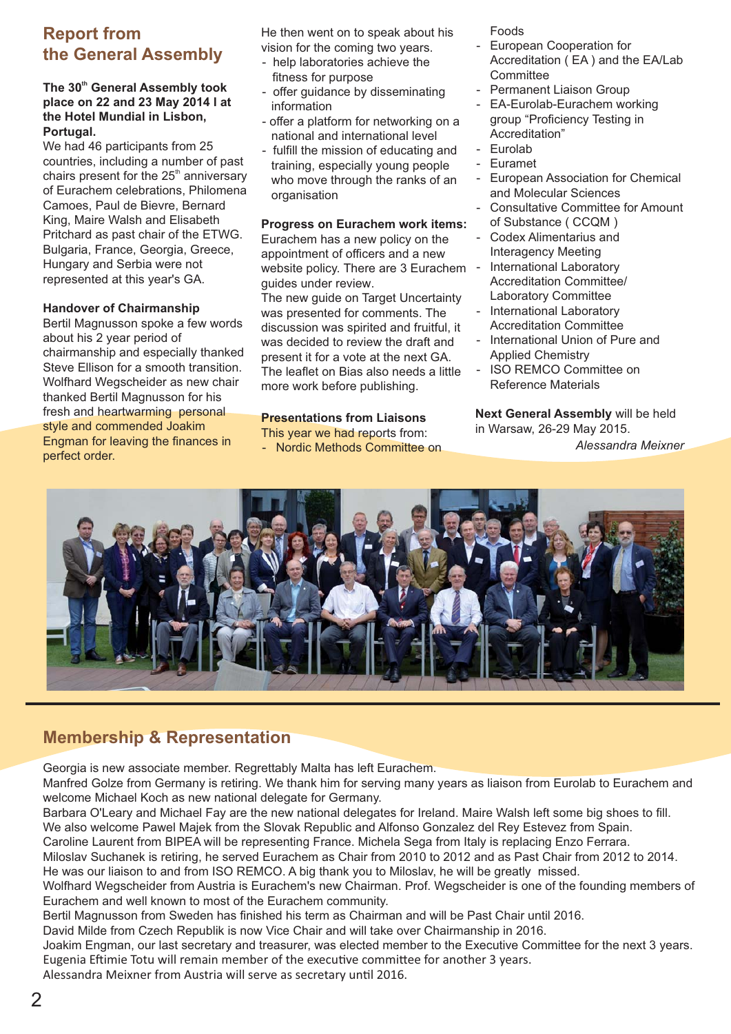### **Report from the General Assembly**

#### The 30<sup>th</sup> General Assembly took **place on 22 and 23 May 2014 l at the Hotel Mundial in Lisbon, Portugal.**

We had 46 participants from 25 countries, including a number of past chairs present for the  $25<sup>th</sup>$  anniversary of Eurachem celebrations, Philomena Camoes, Paul de Bievre, Bernard King, Maire Walsh and Elisabeth Pritchard as past chair of the ETWG. Bulgaria, France, Georgia, Greece, Hungary and Serbia were not represented at this year's GA.

#### **Handover of Chairmanship**

Bertil Magnusson spoke a few words about his 2 year period of chairmanship and especially thanked Steve Ellison for a smooth transition. Wolfhard Wegscheider as new chair thanked Bertil Magnusson for his fresh and heartwarming personal style and commended Joakim Engman for leaving the finances in perfect order.

He then went on to speak about his vision for the coming two years.

- help laboratories achieve the fitness for purpose
- offer guidance by disseminating information
- offer a platform for networking on a national and international level
- fulfill the mission of educating and training, especially young people who move through the ranks of an organisation

#### **Progress on Eurachem work items:**

Eurachem has a new policy on the appointment of officers and a new website policy. There are 3 Eurachem guides under review.

The new guide on Target Uncertainty was presented for comments. The discussion was spirited and fruitful, it was decided to review the draft and present it for a vote at the next GA. The leaflet on Bias also needs a little more work before publishing.

#### **Presentations from Liaisons**

- This year we had reports from:
- Nordic Methods Committee on

Foods

- European Cooperation for Accreditation ( EA ) and the EA/Lab **Committee**
- Permanent Liaison Group
- EA-Eurolab-Eurachem working group "Proficiency Testing in Accreditation"
- Eurolab
- Euramet
- European Association for Chemical and Molecular Sciences
- Consultative Committee for Amount of Substance ( CCQM )
- Codex Alimentarius and Interagency Meeting
- International Laboratory Accreditation Committee/ Laboratory Committee
- International Laboratory Accreditation Committee
- International Union of Pure and Applied Chemistry
- ISO REMCO Committee on Reference Materials

**Next General Assembly** will be held in Warsaw, 26-29 May 2015.

*Alessandra Meixner*



#### **Membership & Representation**

Georgia is new associate member. Regrettably Malta has left Eurachem.

Manfred Golze from Germany is retiring. We thank him for serving many years as liaison from Eurolab to Eurachem and welcome Michael Koch as new national delegate for Germany.

Barbara O'Leary and Michael Fay are the new national delegates for Ireland. Maire Walsh left some big shoes to fill. We also welcome Pawel Majek from the Slovak Republic and Alfonso Gonzalez del Rey Estevez from Spain.

Caroline Laurent from BIPEA will be representing France. Michela Sega from Italy is replacing Enzo Ferrara.

Miloslav Suchanek is retiring, he served Eurachem as Chair from 2010 to 2012 and as Past Chair from 2012 to 2014. He was our liaison to and from ISO REMCO. A big thank you to Miloslav, he will be greatly missed.

Wolfhard Wegscheider from Austria is Eurachem's new Chairman. Prof. Wegscheider is one of the founding members of Eurachem and well known to most of the Eurachem community.

Bertil Magnusson from Sweden has finished his term as Chairman and will be Past Chair until 2016.

David Milde from Czech Republik is now Vice Chair and will take over Chairmanship in 2016.

Joakim Engman, our last secretary and treasurer, was elected member to the Executive Committee for the next 3 years. Eugenia Eftimie Totu will remain member of the executive committee for another 3 years.

Alessandra Meixner from Austria will serve as secretary until 2016.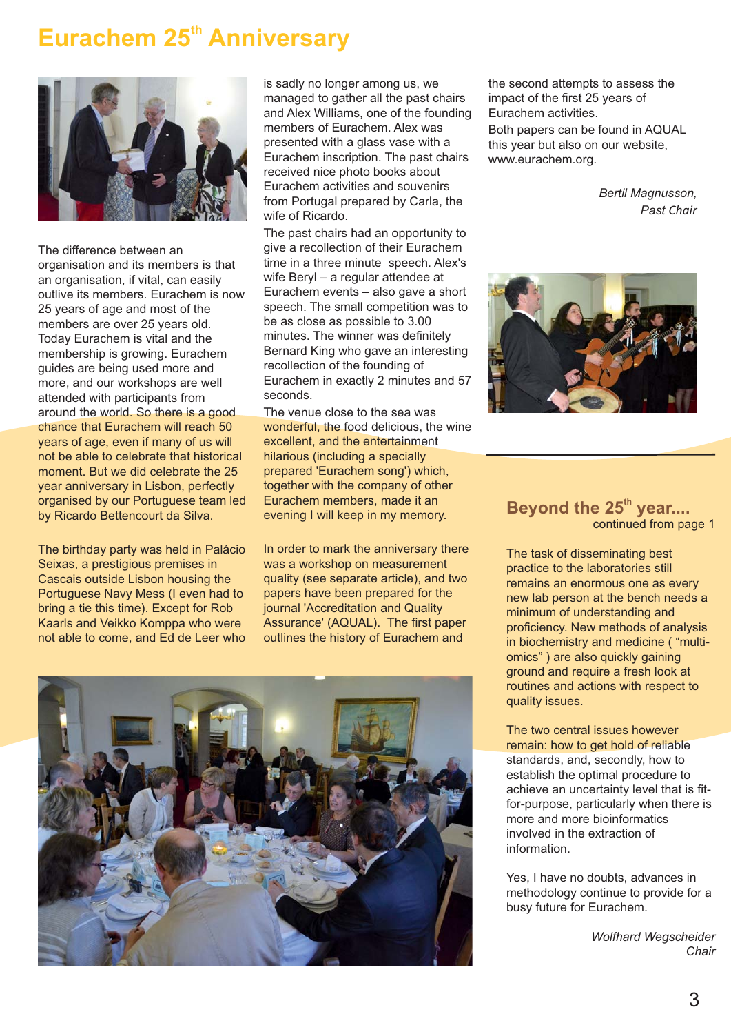# **Eurachem 25<sup>th</sup> Anniversary**



The difference between an organisation and its members is that an organisation, if vital, can easily outlive its members. Eurachem is now 25 years of age and most of the members are over 25 years old. Today Eurachem is vital and the membership is growing. Eurachem guides are being used more and more, and our workshops are well attended with participants from around the world. So there is a good chance that Eurachem will reach 50 years of age, even if many of us will not be able to celebrate that historical moment. But we did celebrate the 25 year anniversary in Lisbon, perfectly organised by our Portuguese team led by Ricardo Bettencourt da Silva.

The birthday party was held in Palácio Seixas, a prestigious premises in Cascais outside Lisbon housing the Portuguese Navy Mess (I even had to bring a tie this time). Except for Rob Kaarls and Veikko Komppa who were not able to come, and Ed de Leer who is sadly no longer among us, we managed to gather all the past chairs and Alex Williams, one of the founding members of Eurachem. Alex was presented with a glass vase with a Eurachem inscription. The past chairs received nice photo books about Eurachem activities and souvenirs from Portugal prepared by Carla, the wife of Ricardo.

The past chairs had an opportunity to give a recollection of their Eurachem time in a three minute speech. Alex's wife Beryl – a regular attendee at Eurachem events – also gave a short speech. The small competition was to be as close as possible to 3.00 minutes. The winner was definitely Bernard King who gave an interesting recollection of the founding of Eurachem in exactly 2 minutes and 57 seconds.

The venue close to the sea was wonderful, the food delicious, the wine excellent, and the entertainment hilarious (including a specially prepared 'Eurachem song') which, together with the company of other Eurachem members, made it an evening I will keep in my memory.

In order to mark the anniversary there was a workshop on measurement quality (see separate article), and two papers have been prepared for the journal 'Accreditation and Quality Assurance' (AQUAL). The first paper outlines the history of Eurachem and



the second attempts to assess the impact of the first 25 years of Eurachem activities.

Both papers can be found in AQUAL this year but also on our website, www.eurachem.org.

> *Bertil Magnusson, Past Chair*



#### **Beyond the 25<sup>th</sup> year....** continued from page 1

The task of disseminating best practice to the laboratories still remains an enormous one as every new lab person at the bench needs a minimum of understanding and proficiency. New methods of analysis in biochemistry and medicine ( "multiomics") are also quickly gaining ground and require a fresh look at routines and actions with respect to quality issues.

#### The two central issues however remain: how to get hold of reliable

standards, and, secondly, how to establish the optimal procedure to achieve an uncertainty level that is fitfor-purpose, particularly when there is more and more bioinformatics involved in the extraction of information.

Yes, I have no doubts, advances in methodology continue to provide for a busy future for Eurachem.

> *Wolfhard Wegscheider Chair*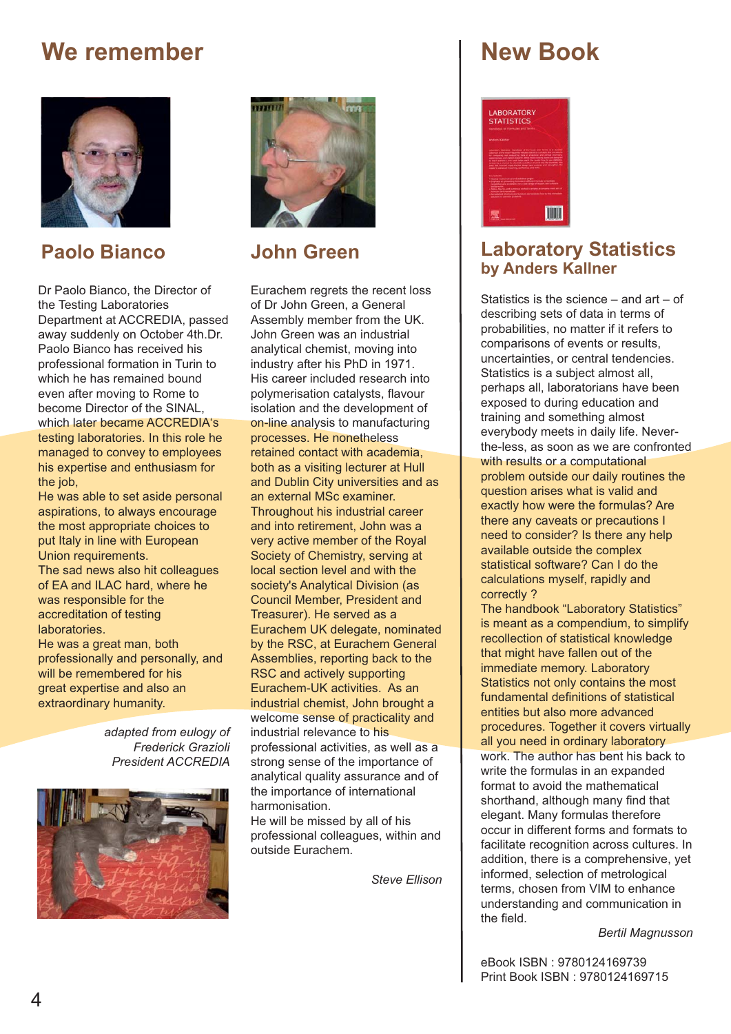# **We remember**



**Paolo Bianco**

Dr Paolo Bianco, the Director of the Testing Laboratories Department at ACCREDIA, passed away suddenly on October 4th.Dr. Paolo Bianco has received his professional formation in Turin to which he has remained bound even after moving to Rome to become Director of the SINAL, which later became ACCREDIA's testing laboratories. In this role he managed to convey to employees his expertise and enthusiasm for the job.

He was able to set aside personal aspirations, to always encourage the most appropriate choices to put Italy in line with European Union requirements.

The sad news also hit colleagues of EA and ILAC hard, where he was responsible for the accreditation of testing laboratories.

He was a great man, both professionally and personally, and will be remembered for his great expertise and also an extraordinary humanity.

> *adapted from eulogy of Frederick Grazioli President ACCREDIA*





#### **John Green**

Eurachem regrets the recent loss of Dr John Green, a General Assembly member from the UK. John Green was an industrial analytical chemist, moving into industry after his PhD in 1971. His career included research into polymerisation catalysts, flavour isolation and the development of on-line analysis to manufacturing processes. He nonetheless retained contact with academia, both as a visiting lecturer at Hull and Dublin City universities and as an external MSc examiner. Throughout his industrial career and into retirement, John was a very active member of the Royal Society of Chemistry, serving at local section level and with the society's Analytical Division (as Council Member, President and Treasurer). He served as a Eurachem UK delegate, nominated by the RSC, at Eurachem General Assemblies, reporting back to the RSC and actively supporting Eurachem-UK activities. As an industrial chemist, John brought a welcome sense of practicality and industrial relevance to his professional activities, as well as a strong sense of the importance of analytical quality assurance and of the importance of international harmonisation.

He will be missed by all of his professional colleagues, within and outside Eurachem.

*Steve Ellison*

# **New Book**



#### **Laboratory Statistics by Anders Kallner**

Statistics is the science – and art – of describing sets of data in terms of probabilities, no matter if it refers to comparisons of events or results, uncertainties, or central tendencies. Statistics is a subject almost all, perhaps all, laboratorians have been exposed to during education and training and something almost everybody meets in daily life. Neverthe-less, as soon as we are confronted with results or a computational problem outside our daily routines the question arises what is valid and exactly how were the formulas? Are there any caveats or precautions I need to consider? Is there any help available outside the complex statistical software? Can I do the calculations myself, rapidly and correctly ?

The handbook "Laboratory Statistics" is meant as a compendium, to simplify recollection of statistical knowledge that might have fallen out of the immediate memory. Laboratory Statistics not only contains the most fundamental definitions of statistical entities but also more advanced procedures. Together it covers virtually all you need in ordinary laboratory work. The author has bent his back to write the formulas in an expanded format to avoid the mathematical shorthand, although many find that elegant. Many formulas therefore occur in different forms and formats to facilitate recognition across cultures. In addition, there is a comprehensive, yet informed, selection of metrological terms, chosen from VIM to enhance understanding and communication in the field.

*Bertil Magnusson*

eBook ISBN : 9780124169739 Print Book ISBN : 9780124169715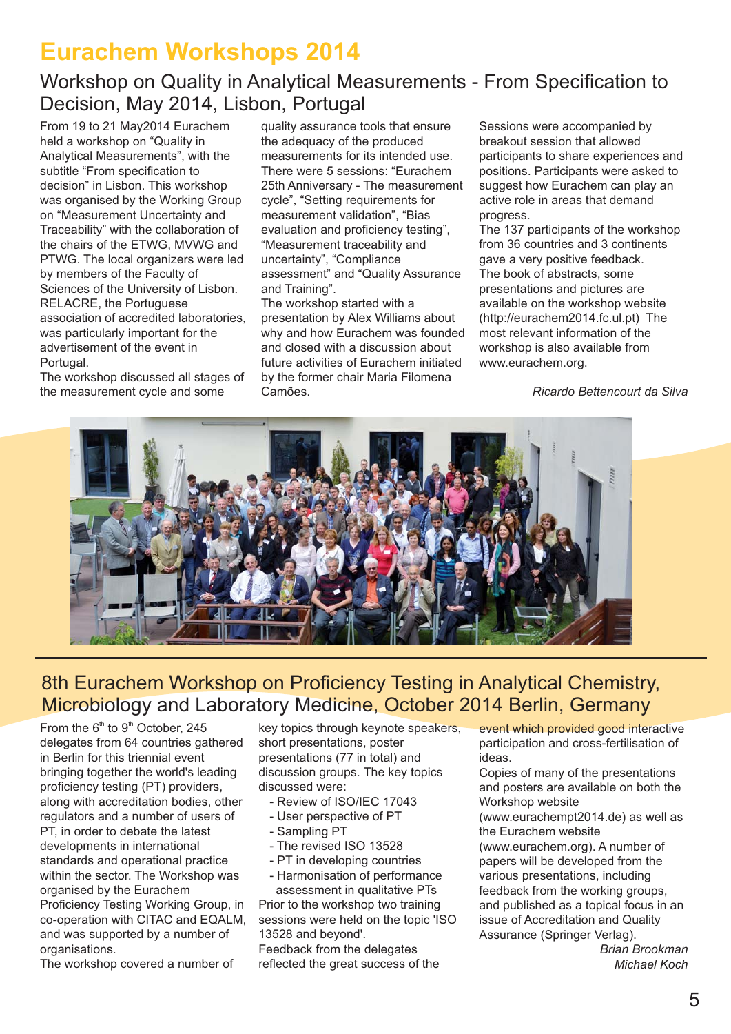# **Eurachem Workshops 2014**

# Workshop on Quality in Analytical Measurements - From Specification to Decision, May 2014, Lisbon, Portugal

From 19 to 21 May 2014 Eurachem held a workshop on "Quality in Analytical Measurements", with the subtitle "From specification to decision" in Lisbon. This workshop was organised by the Working Group on "Measurement Uncertainty and Traceability" with the collaboration of the chairs of the ETWG, MVWG and PTWG. The local organizers were led by members of the Faculty of Sciences of the University of Lisbon. RELACRE, the Portuguese association of accredited laboratories, was particularly important for the advertisement of the event in Portugal.

The workshop discussed all stages of the measurement cycle and some

quality assurance tools that ensure the adequacy of the produced measurements for its intended use. There were 5 sessions: "Eurachem 25th Anniversary - The measurement cycle", "Setting requirements for measurement validation", "Bias evaluation and proficiency testing", "Measurement traceability and uncertainty", "Compliance assessment" and "Quality Assurance and Training".

The workshop started with a presentation by Alex Williams about why and how Eurachem was founded and closed with a discussion about future activities of Eurachem initiated by the former chair Maria Filomena Camões.

Sessions were accompanied by breakout session that allowed participants to share experiences and positions. Participants were asked to suggest how Eurachem can play an active role in areas that demand progress.

The 137 participants of the workshop from 36 countries and 3 continents gave a very positive feedback. The book of abstracts, some presentations and pictures are available on the workshop website (http://eurachem2014.fc.ul.pt) The most relevant information of the workshop is also available from www.eurachem.org.

*Ricardo Bettencourt da Silva*



# 8th Eurachem Workshop on Proficiency Testing in Analytical Chemistry, Microbiology and Laboratory Medicine, October 2014 Berlin, Germany

From the  $6<sup>th</sup>$  to  $9<sup>th</sup>$  October, 245 delegates from 64 countries gathered in Berlin for this triennial event bringing together the world's leading proficiency testing (PT) providers, along with accreditation bodies, other regulators and a number of users of PT, in order to debate the latest developments in international standards and operational practice within the sector. The Workshop was organised by the Eurachem Proficiency Testing Working Group, in co-operation with CITAC and EQALM, and was supported by a number of organisations.

The workshop covered a number of

key topics through keynote speakers, short presentations, poster presentations (77 in total) and discussion groups. The key topics discussed were:

- Review of ISO/IEC 17043
- User perspective of PT
- Sampling PT
- The revised ISO 13528
- PT in developing countries

- Harmonisation of performance assessment in qualitative PTs

Prior to the workshop two training sessions were held on the topic 'ISO 13528 and beyond'.

Feedback from the delegates reflected the great success of the event which provided good interactive participation and cross-fertilisation of ideas.

Copies of many of the presentations and posters are available on both the Workshop website

(www.eurachempt2014.de) as well as the Eurachem website

(www.eurachem.org). A number of papers will be developed from the various presentations, including feedback from the working groups, and published as a topical focus in an issue of Accreditation and Quality Assurance (Springer Verlag).

*Brian Brookman Michael Koch*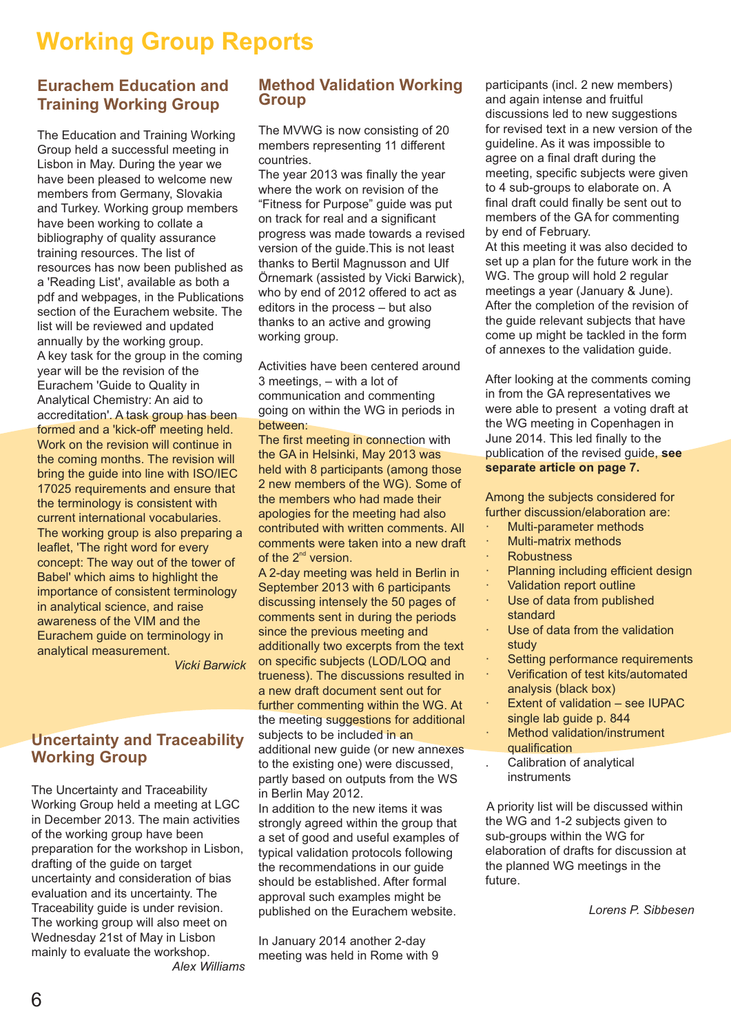# **Working Group Reports**

#### **Eurachem Education and Training Working Group**

The Education and Training Working Group held a successful meeting in Lisbon in May. During the year we have been pleased to welcome new members from Germany, Slovakia and Turkey. Working group members have been working to collate a bibliography of quality assurance training resources. The list of resources has now been published as a 'Reading List', available as both a pdf and webpages, in the Publications section of the Eurachem website. The list will be reviewed and updated annually by the working group. A key task for the group in the coming year will be the revision of the Eurachem 'Guide to Quality in Analytical Chemistry: An aid to accreditation'. A task group has been formed and a 'kick-off' meeting held. Work on the revision will continue in the coming months. The revision will bring the guide into line with ISO/IEC 17025 requirements and ensure that the terminology is consistent with current international vocabularies. The working group is also preparing a leaflet. 'The right word for every concept: The way out of the tower of Babel' which aims to highlight the importance of consistent terminology in analytical science, and raise awareness of the VIM and the Eurachem guide on terminology in analytical measurement.

*Vicki Barwick*

#### **Uncertainty and Traceability Working Group**

The Uncertainty and Traceability Working Group held a meeting at LGC in December 2013. The main activities of the working group have been preparation for the workshop in Lisbon, drafting of the guide on target uncertainty and consideration of bias evaluation and its uncertainty. The Traceability guide is under revision. The working group will also meet on Wednesday 21st of May in Lisbon mainly to evaluate the workshop. *Alex Williams*

#### **Method Validation Working Group**

The MVWG is now consisting of 20 members representing 11 different countries.

The year 2013 was finally the year where the work on revision of the "Fitness for Purpose" guide was put on track for real and a significant progress was made towards a revised version of the guide.This is not least thanks to Bertil Magnusson and Ulf Örnemark (assisted by Vicki Barwick), who by end of 2012 offered to act as editors in the process – but also thanks to an active and growing working group.

Activities have been centered around 3 meetings, – with a lot of communication and commenting going on within the WG in periods in between:

The first meeting in connection with the GA in Helsinki, May 2013 was held with 8 participants (among those 2 new members of the WG). Some of the members who had made their apologies for the meeting had also contributed with written comments. All comments were taken into a new draft of the  $2^{nd}$  version.

A 2-day meeting was held in Berlin in September 2013 with 6 participants discussing intensely the 50 pages of comments sent in during the periods since the previous meeting and additionally two excerpts from the text on specific subjects (LOD/LOQ and trueness). The discussions resulted in a new draft document sent out for further commenting within the WG. At the meeting suggestions for additional subjects to be included in an additional new guide (or new annexes to the existing one) were discussed, partly based on outputs from the WS in Berlin May 2012.

In addition to the new items it was strongly agreed within the group that a set of good and useful examples of typical validation protocols following the recommendations in our guide should be established. After formal approval such examples might be published on the Eurachem website.

In January 2014 another 2-day meeting was held in Rome with 9 participants (incl. 2 new members) and again intense and fruitful discussions led to new suggestions for revised text in a new version of the guideline. As it was impossible to agree on a final draft during the meeting, specific subjects were given to 4 sub-groups to elaborate on. A final draft could finally be sent out to members of the GA for commenting by end of February.

At this meeting it was also decided to set up a plan for the future work in the WG. The group will hold 2 regular meetings a year (January & June). After the completion of the revision of the quide relevant subjects that have come up might be tackled in the form of annexes to the validation guide.

After looking at the comments coming in from the GA representatives we were able to present a voting draft at the WG meeting in Copenhagen in June 2014. This led finally to the publication of the revised guide, **see separate article on page 7.**

Among the subjects considered for further discussion/elaboration are:

- Multi-parameter methods
- · Multi-matrix methods
- **Robustness**
- Planning including efficient design
- Validation report outline
- Use of data from published standard
- Use of data from the validation study
- Setting performance requirements
- · Verification of test kits/automated analysis (black box)
- Extent of validation see IUPAC single lab guide p. 844
- Method validation/instrument qualification
- . Calibration of analytical instruments

A priority list will be discussed within the WG and 1-2 subjects given to sub-groups within the WG for elaboration of drafts for discussion at the planned WG meetings in the future.

*Lorens P. Sibbesen*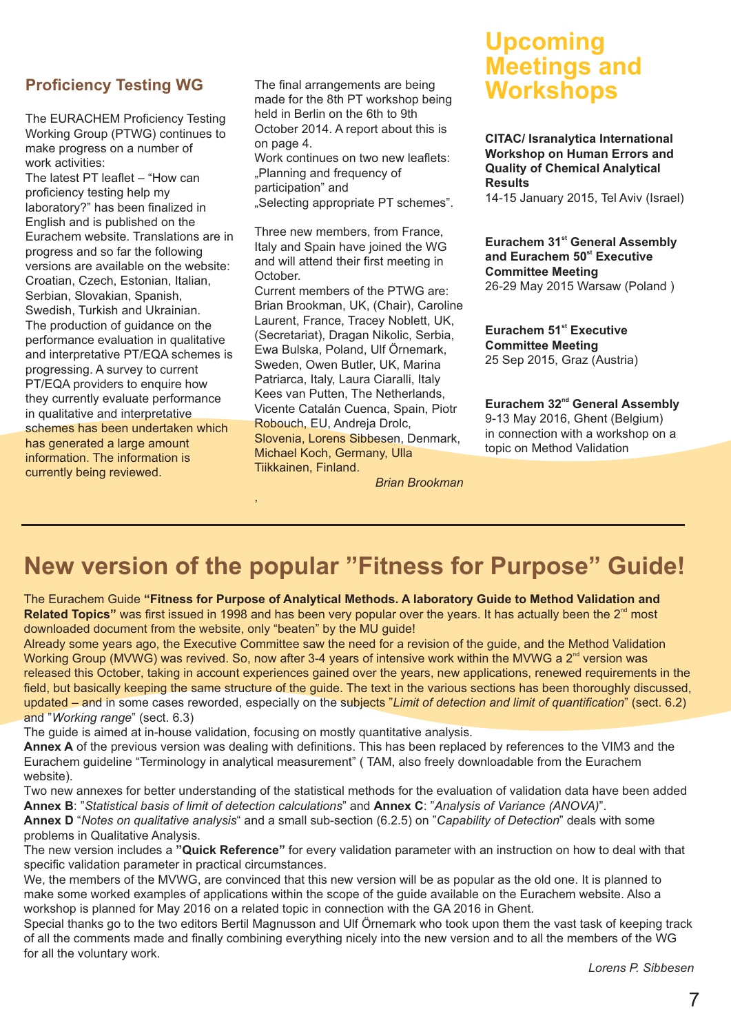#### **Proficiency Testing WG**

The EURACHEM Proficiency Testing Working Group (PTWG) continues to make progress on a number of work activities:

The latest PT leaflet – "How can proficiency testing help my laboratory?" has been finalized in English and is published on the Eurachem website. Translations are in progress and so far the following versions are available on the website: Croatian, Czech, Estonian, Italian, Serbian, Slovakian, Spanish, Swedish, Turkish and Ukrainian. The production of guidance on the performance evaluation in qualitative and interpretative PT/EQA schemes is progressing. A survey to current PT/EQA providers to enquire how they currently evaluate performance in qualitative and interpretative schemes has been undertaken which has generated a large amount information. The information is currently being reviewed.

The final arrangements are being made for the 8th PT workshop being held in Berlin on the 6th to 9th October 2014. A report about this is on page 4.

Work continues on two new leaflets: "Planning and frequency of participation" and

"Selecting appropriate PT schemes".

Three new members, from France, Italy and Spain have joined the WG and will attend their first meeting in October.

Current members of the PTWG are: Brian Brookman, UK, (Chair), Caroline Laurent, France, Tracey Noblett, UK, (Secretariat), Dragan Nikolic, Serbia, Ewa Bulska, Poland, Ulf Örnemark, Sweden, Owen Butler, UK, Marina Patriarca, Italy, Laura Ciaralli, Italy Kees van Putten, The Netherlands, Vicente Catalán Cuenca, Spain, Piotr Robouch, EU, Andreja Drolc, Slovenia, Lorens Sibbesen, Denmark, Michael Koch, Germany, Ulla Tiikkainen, Finland.

**Upcoming Meetings and Workshops**

**CITAC/ Isranalytica International Workshop on Human Errors and Quality of Chemical Analytical Results**

14-15 January 2015, Tel Aviv (Israel)

**Eurachem 31<sup>st</sup> General Assembly** and Eurachem 50<sup>st</sup> Executive **Committee Meeting** 26 29 May 2015 Warsaw (Poland ) -

**Eurachem 51st** Executive **Committee Meeting** 25 Sep 2015, Graz (Austria)

**Eurachem 32<sup>nd</sup> General Assembly** 9-13 May 2016, Ghent (Belgium) in connection with a workshop on a topic on Method Validation

*Brian Brookman*

# **New version of the popular "Fitness for Purpose" Guide!**

The Eurachem Guide **"Fitness for Purpose of Analytical Methods. A laboratory Guide to Method Validation and** Related Topics" was first issued in 1998 and has been very popular over the years. It has actually been the 2<sup>nd</sup> most downloaded document from the website, only "beaten" by the MU guide!

Already some years ago, the Executive Committee saw the need for a revision of the guide, and the Method Validation Working Group (MVWG) was revived. So, now after 3-4 years of intensive work within the MVWG a  $2^{nd}$  version was released this October, taking in account experiences gained over the years, new applications, renewed requirements in the field, but basically keeping the same structure of the guide. The text in the various sections has been thoroughly discussed, updated – and in some cases reworded, especially on the subjects " Limit of detection and limit of quantification" (sect. 6.2) and "Working range" (sect. 6.3)

The guide is aimed at in-house validation, focusing on mostly quantitative analysis.

,

**Annex A** of the previous version was dealing with definitions. This has been replaced by references to the VIM3 and the Eurachem guideline "Terminology in analytical measurement" (TAM, also freely downloadable from the Eurachem website).

Two new annexes for better understanding of the statistical methods for the evaluation of validation data have been added **Annex B**: "Statistical basis of limit of detection calculations" and **Annex C**: "Analysis of Variance (ANOVA)".

Annex D "Notes on qualitative analysis" and a small sub-section (6.2.5) on "Capability of Detection" deals with some problems in Qualitative Analysis.

The new version includes a "Quick Reference" for every validation parameter with an instruction on how to deal with that specific validation parameter in practical circumstances.

We, the members of the MVWG, are convinced that this new version will be as popular as the old one. It is planned to make some worked examples of applications within the scope of the quide available on the Eurachem website. Also a workshop is planned for May 2016 on a related topic in connection with the GA 2016 in Ghent.

Special thanks go to the two editors Bertil Magnusson and Ulf Örnemark who took upon them the vast task of keeping track of all the comments made and finally combining everything nicely into the new version and to all the members of the WG for all the voluntary work.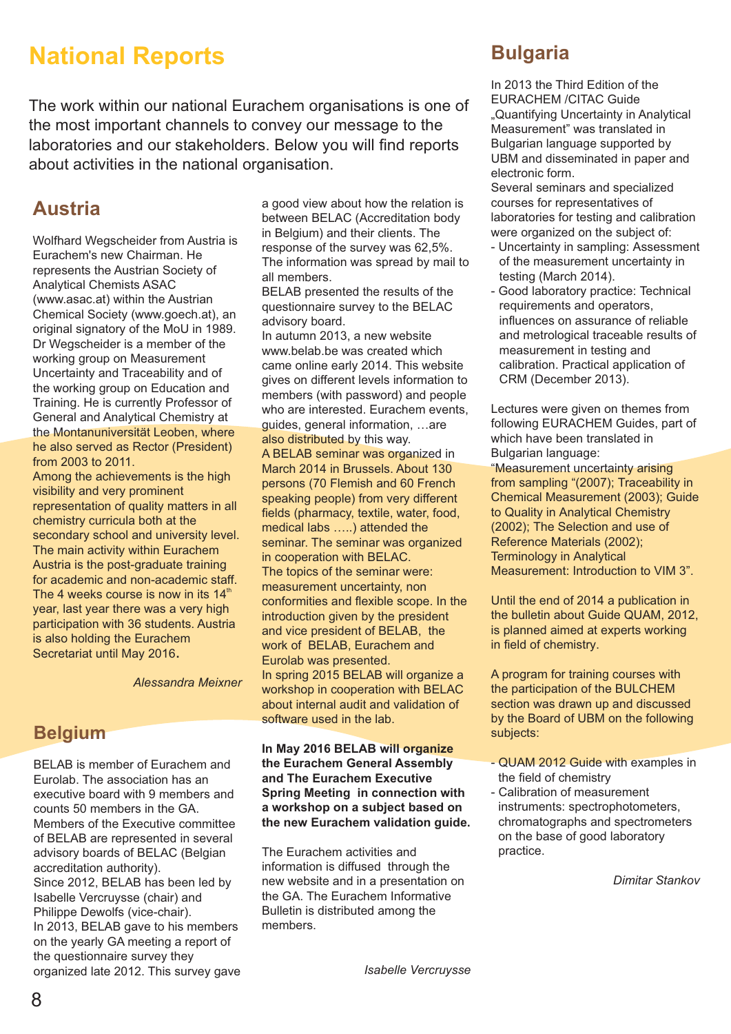# **National Reports**

The work within our national Eurachem organisations is one of the most important channels to convey our message to the laboratories and our stakeholders. Below you will find reports about activities in the national organisation.

# **Austria**

Wolfhard Wegscheider from Austria is Eurachem's new Chairman. He represents the Austrian Society of Analytical Chemists ASAC (www.asac.at) within the Austrian Chemical Society (www.goech.at), an original signatory of the MoU in 1989. Dr Wegscheider is a member of the working group on Measurement Uncertainty and Traceability and of the working group on Education and Training. He is currently Professor of General and Analytical Chemistry at the Montanuniversität Leoben, where he also served as Rector (President) from 2003 to 2011.

Among the achievements is the high visibility and very prominent representation of quality matters in all chemistry curricula both at the secondary school and university level. The main activity within Eurachem Austria is the post-graduate training for academic and non-academic staff. The 4 weeks course is now in its  $14<sup>th</sup>$ year, last year there was a very high participation with 36 students. Austria is also holding the Eurachem Secretariat until May 2016.

*Alessandra Meixner*

# **Belgium**

BELAB is member of Eurachem and Eurolab. The association has an executive board with 9 members and counts 50 members in the GA. Members of the Executive committee of BELAB are represented in several advisory boards of BELAC (Belgian accreditation authority). Since 2012, BELAB has been led by Isabelle Vercruysse (chair) and Philippe Dewolfs (vice-chair). In 2013, BELAB gave to his members on the yearly GA meeting a report of the questionnaire survey they organized late 2012. This survey gave

a good view about how the relation is between BELAC (Accreditation body in Belgium) and their clients. The response of the survey was 62,5%. The information was spread by mail to all members.

BELAB presented the results of the questionnaire survey to the BELAC advisory board.

In autumn 2013, a new website www.belab.be was created which came online early 2014. This website gives on different levels information to members (with password) and people who are interested. Eurachem events, guides, general information, …are also distributed by this way. A BELAB seminar was organized in March 2014 in Brussels. About 130 persons (70 Flemish and 60 French speaking people) from very different fields (pharmacy, textile, water, food, medical labs …..) attended the seminar. The seminar was organized in cooperation with BELAC. The topics of the seminar were: measurement uncertainty, non conformities and flexible scope. In the introduction given by the president and vice president of BELAB, the work of BELAB, Eurachem and Eurolab was presented. In spring 2015 BELAB will organize a workshop in cooperation with BELAC about internal audit and validation of software used in the lab.

**In May 2016 BELAB will organize the Eurachem General Assembly and The Eurachem Executive Spring Meeting in connection with a workshop on a subject based on the new Eurachem validation guide.**

The Eurachem activities and information is diffused through the new website and in a presentation on the GA. The Eurachem Informative Bulletin is distributed among the members.

# **Bulgaria**

In 2013 the Third Edition of the EURACHEM /CITAC Guide "Quantifying Uncertainty in Analytical Measurement" was translated in Bulgarian language supported by UBM and disseminated in paper and electronic form.

Several seminars and specialized courses for representatives of laboratories for testing and calibration were organized on the subject of:

- Uncertainty in sampling: Assessment of the measurement uncertainty in testing (March 2014).
- Good laboratory practice: Technical requirements and operators, influences on assurance of reliable and metrological traceable results of measurement in testing and calibration. Practical application of CRM (December 2013).

Lectures were given on themes from following EURACHEM Guides, part of which have been translated in Bulgarian language:

"Measurement uncertainty arising from sampling "(2007); Traceability in Chemical Measurement (2003); Guide to Quality in Analytical Chemistry (2002); The Selection and use of Reference Materials (2002); Terminology in Analytical Measurement: Introduction to VIM 3".

Until the end of 2014 a publication in the bulletin about Guide QUAM, 2012, is planned aimed at experts working in field of chemistry.

A program for training courses with the participation of the BULCHEM section was drawn up and discussed by the Board of UBM on the following subjects:

- QUAM 2012 Guide with examples in the field of chemistry
- Calibration of measurement instruments: spectrophotometers, chromatographs and spectrometers on the base of good laboratory practice.

*Dimitar Stankov*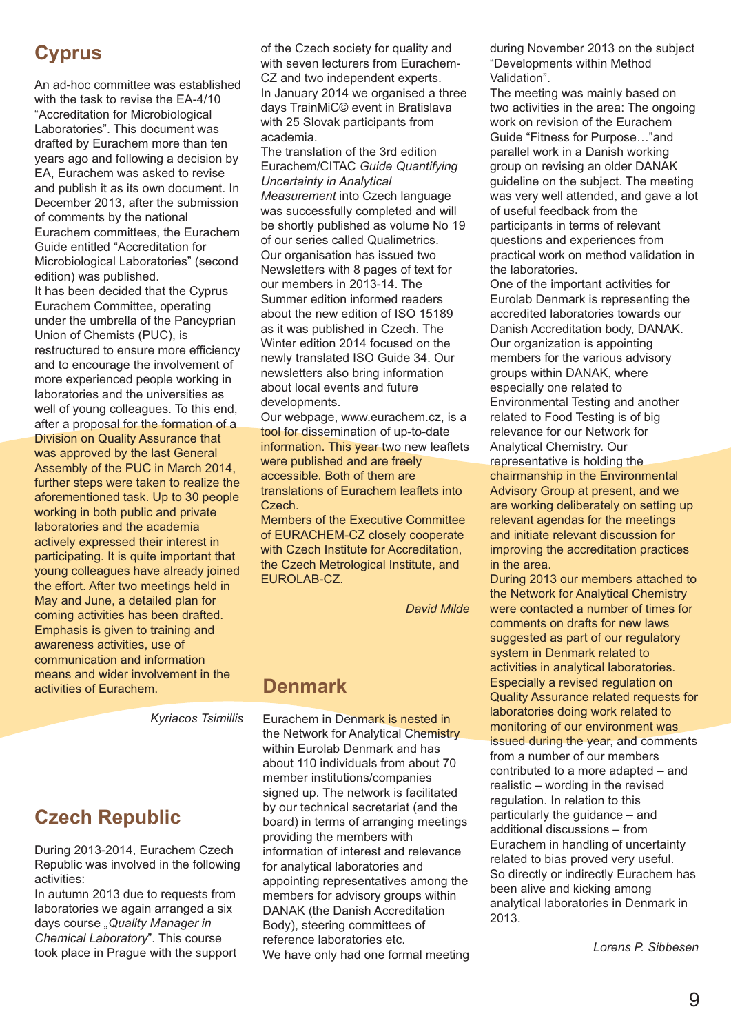# **Cyprus**

An ad-hoc committee was established with the task to revise the EA-4/10 "Accreditation for Microbiological Laboratories". This document was drafted by Eurachem more than ten years ago and following a decision by EA, Eurachem was asked to revise and publish it as its own document. In December 2013, after the submission of comments by the national Eurachem committees, the Eurachem Guide entitled "Accreditation for Microbiological Laboratories" (second edition) was published. It has been decided that the Cyprus Eurachem Committee, operating under the umbrella of the Pancyprian Union of Chemists (PUC), is restructured to ensure more efficiency and to encourage the involvement of more experienced people working in laboratories and the universities as well of young colleagues. To this end, after a proposal for the formation of a Division on Quality Assurance that was approved by the last General Assembly of the PUC in March 2014, further steps were taken to realize the aforementioned task. Up to 30 people working in both public and private laboratories and the academia actively expressed their interest in participating. It is quite important that young colleagues have already joined the effort. After two meetings held in May and June, a detailed plan for coming activities has been drafted. Emphasis is given to training and awareness activities, use of communication and information means and wider involvement in the activities of Eurachem.

*Kyriacos Tsimillis*

# **Czech Republic**

During 2013-2014, Eurachem Czech Republic was involved in the following activities:

In autumn 2013 due to requests from laboratories we again arranged a six days course *"Quality Manager in Chemical Laboratory*". This course took place in Prague with the support of the Czech society for quality and with seven lecturers from Eurachem-CZ and two independent experts. In January 2014 we organised a three days TrainMiC© event in Bratislava with 25 Slovak participants from academia.

The translation of the 3rd edition Eurachem/CITAC *Guide Quantifying Uncertainty in Analytical Measurement* into Czech language was successfully completed and will be shortly published as volume No 19 of our series called Qualimetrics. Our organisation has issued two Newsletters with 8 pages of text for our members in 2013-14. The Summer edition informed readers about the new edition of ISO 15189 as it was published in Czech. The Winter edition 2014 focused on the newly translated ISO Guide 34. Our newsletters also bring information about local events and future developments.

Our webpage, www.eurachem.cz, is a tool for dissemination of up-to-date information. This year two new leaflets were published and are freely accessible. Both of them are translations of Eurachem leaflets into Czech.

Members of the Executive Committee of EURACHEM-CZ closely cooperate with Czech Institute for Accreditation, the Czech Metrological Institute, and EUROLAB-CZ.

*David Milde*

#### **Denmark**

Eurachem in Denmark is nested in the Network for Analytical Chemistry within Eurolab Denmark and has about 110 individuals from about 70 member institutions/companies signed up. The network is facilitated by our technical secretariat (and the board) in terms of arranging meetings providing the members with information of interest and relevance for analytical laboratories and appointing representatives among the members for advisory groups within DANAK (the Danish Accreditation Body), steering committees of reference laboratories etc. We have only had one formal meeting during November 2013 on the subject "Developments within Method Validation".

The meeting was mainly based on two activities in the area: The ongoing work on revision of the Eurachem Guide "Fitness for Purpose…"and parallel work in a Danish working group on revising an older DANAK guideline on the subject. The meeting was very well attended, and gave a lot of useful feedback from the participants in terms of relevant questions and experiences from practical work on method validation in the laboratories.

One of the important activities for Eurolab Denmark is representing the accredited laboratories towards our Danish Accreditation body, DANAK. Our organization is appointing members for the various advisory groups within DANAK, where especially one related to Environmental Testing and another related to Food Testing is of big relevance for our Network for Analytical Chemistry. Our representative is holding the chairmanship in the Environmental Advisory Group at present, and we are working deliberately on setting up relevant agendas for the meetings

and initiate relevant discussion for improving the accreditation practices in the area.

During 2013 our members attached to the Network for Analytical Chemistry were contacted a number of times for comments on drafts for new laws suggested as part of our regulatory system in Denmark related to activities in analytical laboratories. Especially a revised regulation on Quality Assurance related requests for laboratories doing work related to monitoring of our environment was issued during the year, and comments from a number of our members contributed to a more adapted – and realistic – wording in the revised regulation. In relation to this particularly the guidance – and additional discussions – from Eurachem in handling of uncertainty related to bias proved very useful. So directly or indirectly Eurachem has been alive and kicking among analytical laboratories in Denmark in 2013.

*Lorens P. Sibbesen*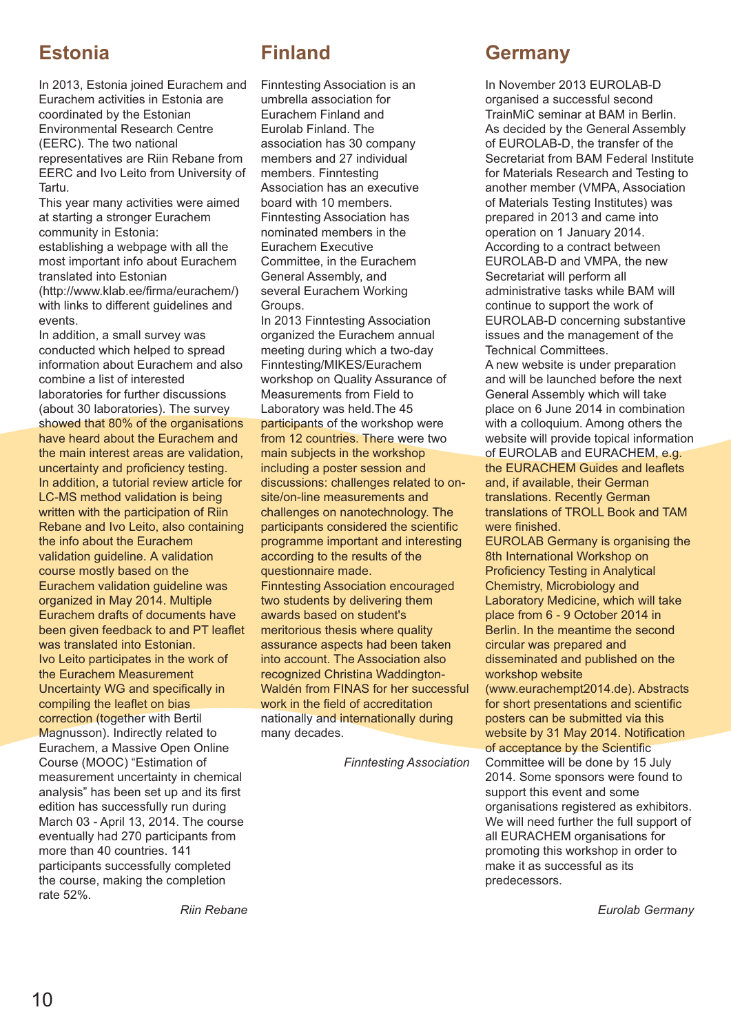# **Estonia**

In 2013, Estonia joined Eurachem and Eurachem activities in Estonia are coordinated by the Estonian Environmental Research Centre (EERC). The two national representatives are Riin Rebane from EERC and Ivo Leito from University of Tartu.

This year many activities were aimed at starting a stronger Eurachem community in Estonia: establishing a webpage with all the most important info about Eurachem translated into Estonian (http://www.klab.ee/firma/eurachem/) with links to different guidelines and events.

In addition, a small survey was conducted which helped to spread information about Eurachem and also combine a list of interested laboratories for further discussions (about 30 laboratories). The survey showed that 80% of the organisations have heard about the Eurachem and the main interest areas are validation, uncertainty and proficiency testing. In addition, a tutorial review article for LC-MS method validation is being written with the participation of Riin Rebane and Ivo Leito, also containing the info about the Eurachem validation guideline. A validation course mostly based on the Eurachem validation guideline was organized in May 2014. Multiple Eurachem drafts of documents have been given feedback to and PT leaflet was translated into Estonian. Ivo Leito participates in the work of the Eurachem Measurement Uncertainty WG and specifically in compiling the leaflet on bias correction (together with Bertil Magnusson). Indirectly related to Eurachem, a Massive Open Online Course (MOOC) "Estimation of measurement uncertainty in chemical analysis" has been set up and its first edition has successfully run during March 03 - April 13, 2014. The course eventually had 270 participants from more than 40 countries. 141 participants successfully completed the course, making the completion rate 52%.

**Finland**

Finntesting Association is an umbrella association for Eurachem Finland and Eurolab Finland. The association has 30 company members and 27 individual members. Finntesting Association has an executive board with 10 members. Finntesting Association has nominated members in the Eurachem Executive Committee, in the Eurachem General Assembly, and several Eurachem Working Groups.

In 2013 Finntesting Association organized the Eurachem annual meeting during which a two-day Finntesting/MIKES/Eurachem workshop on Quality Assurance of Measurements from Field to Laboratory was held. The 45 participants of the workshop were from 12 countries. There were two main subjects in the workshop including a poster session and discussions: challenges related to onsite/on-line measurements and challenges on nanotechnology. The participants considered the scientific programme important and interesting according to the results of the questionnaire made. Finntesting Association encouraged two students by delivering them awards based on student's meritorious thesis where quality assurance aspects had been taken into account. The Association also recognized Christina Waddington-Waldén from FINAS for her successful work in the field of accreditation nationally and internationally during many decades.

*Finntesting Association*

### **Germany**

In November 2013 EUROLAB-D organised a successful second TrainMiC seminar at BAM in Berlin. As decided by the General Assembly of EUROLAB-D, the transfer of the Secretariat from BAM Federal Institute for Materials Research and Testing to another member (VMPA, Association of Materials Testing Institutes) was prepared in 2013 and came into operation on 1 January 2014. According to a contract between EUROLAB-D and VMPA, the new Secretariat will perform all administrative tasks while BAM will continue to support the work of EUROLAB-D concerning substantive issues and the management of the Technical Committees.

A new website is under preparation and will be launched before the next General Assembly which will take place on 6 June 2014 in combination with a colloquium. Among others the website will provide topical information of EUROLAB and EURACHEM, e.g. the EURACHEM Guides and leaflets and, if available, their German translations. Recently German

translations of TROLL Book and TAM were finished.

EUROLAB Germany is organising the 8th International Workshop on Proficiency Testing in Analytical Chemistry, Microbiology and Laboratory Medicine, which will take place from 6 - 9 October 2014 in Berlin. In the meantime the second circular was prepared and disseminated and published on the workshop website

(www.eurachempt2014.de). Abstracts for short presentations and scientific posters can be submitted via this website by 31 May 2014. Notification of acceptance by the Scientific

Committee will be done by 15 July 2014. Some sponsors were found to support this event and some organisations registered as exhibitors. We will need further the full support of all EURACHEM organisations for promoting this workshop in order to make it as successful as its predecessors.

*Eurolab Germany*

*Riin Rebane*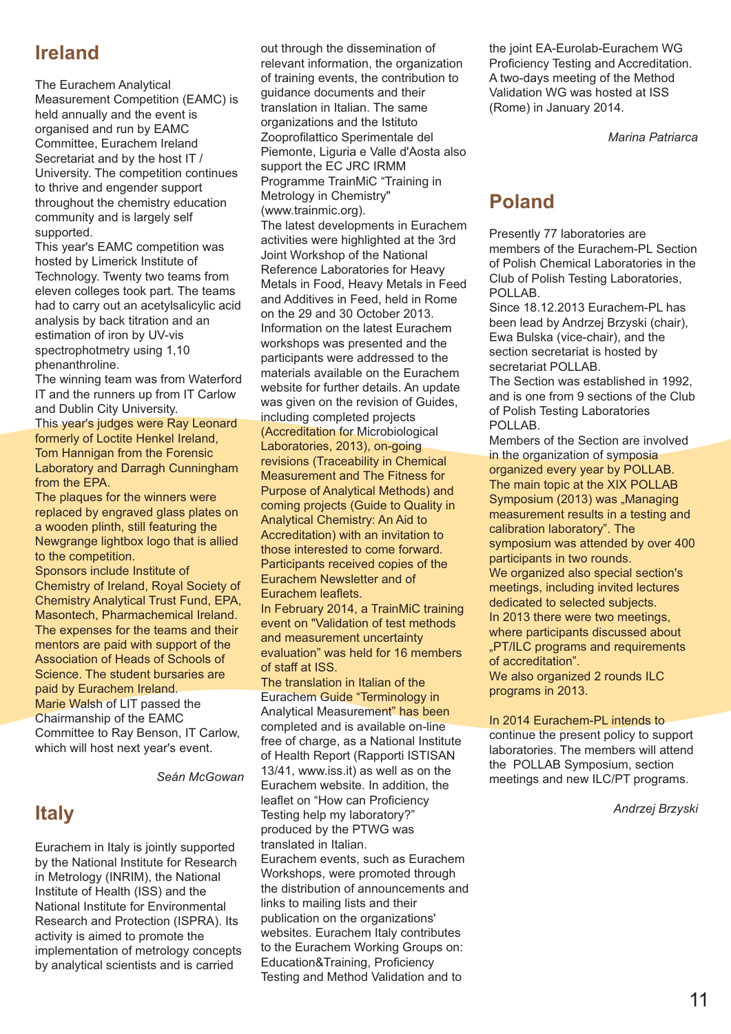# **Ireland**

The Eurachem Analytical Measurement Competition (EAMC) is held annually and the event is organised and run by EAMC Committee, Eurachem Ireland Secretariat and by the host IT / University. The competition continues to thrive and engender support throughout the chemistry education community and is largely self supported.

This year's EAMC competition was hosted by Limerick Institute of Technology. Twenty two teams from eleven colleges took part. The teams had to carry out an acetylsalicylic acid analysis by back titration and an estimation of iron by UV-vis spectrophotmetry using 1,10 phenanthroline.

The winning team was from Waterford IT and the runners up from IT Carlow and Dublin City University.

This year's judges were Ray Leonard formerly of Loctite Henkel Ireland, Tom Hannigan from the Forensic Laboratory and Darragh Cunningham from the EPA.

The plaques for the winners were replaced by engraved glass plates on a wooden plinth, still featuring the Newgrange lightbox logo that is allied to the competition.

Sponsors include Institute of Chemistry of Ireland, Royal Society of Chemistry Analytical Trust Fund, EPA, Masontech, Pharmachemical Ireland. The expenses for the teams and their mentors are paid with support of the Association of Heads of Schools of Science. The student bursaries are paid by Eurachem Ireland. Marie Walsh of LIT passed the Chairmanship of the EAMC Committee to Ray Benson, IT Carlow, which will host next year's event.

*Seán McGowan*

# **Italy**

Eurachem in Italy is jointly supported by the National Institute for Research in Metrology (INRIM), the National Institute of Health (ISS) and the National Institute for Environmental Research and Protection (ISPRA). Its activity is aimed to promote the implementation of metrology concepts by analytical scientists and is carried

out through the dissemination of relevant information, the organization of training events, the contribution to guidance documents and their translation in Italian. The same organizations and the Istituto Zooprofilattico Sperimentale del Piemonte, Liguria e Valle d'Aosta also support the EC JRC IRMM Programme TrainMiC "Training in Metrology in Chemistry" (www.trainmic.org).

The latest developments in Eurachem activities were highlighted at the 3rd Joint Workshop of the National Reference Laboratories for Heavy Metals in Food, Heavy Metals in Feed and Additives in Feed, held in Rome on the 29 and 30 October 2013. Information on the latest Eurachem workshops was presented and the participants were addressed to the materials available on the Eurachem website for further details. An update was given on the revision of Guides, including completed projects (Accreditation for Microbiological Laboratories, 2013), on-going revisions (Traceability in Chemical Measurement and The Fitness for Purpose of Analytical Methods) and coming projects (Guide to Quality in Analytical Chemistry: An Aid to Accreditation) with an invitation to those interested to come forward. Participants received copies of the Eurachem Newsletter and of Eurachem leaflets.

In February 2014, a TrainMiC training event on "Validation of test methods and measurement uncertainty evaluation" was held for 16 members of staff at ISS.

The translation in Italian of the Eurachem Guide "Terminology in Analytical Measurement" has been completed and is available on-line free of charge, as a National Institute of Health Report (Rapporti ISTISAN 13/41, www.iss.it) as well as on the Eurachem website. In addition, the leaflet on "How can Proficiency Testing help my laboratory?" produced by the PTWG was translated in Italian. Eurachem events, such as Eurachem Workshops, were promoted through the distribution of announcements and links to mailing lists and their publication on the organizations' websites. Eurachem Italy contributes to the Eurachem Working Groups on: Education&Training, Proficiency Testing and Method Validation and to

the joint EA-Eurolab-Eurachem WG Proficiency Testing and Accreditation. A two-days meeting of the Method Validation WG was hosted at ISS (Rome) in January 2014.

*Marina Patriarca*

# **Poland**

Presently 77 laboratories are members of the Eurachem-PL Section of Polish Chemical Laboratories in the Club of Polish Testing Laboratories, POLLAB.

Since 18.12.2013 Eurachem-PL has been lead by Andrzej Brzyski (chair), Ewa Bulska (vice-chair), and the section secretariat is hosted by secretariat POLLAB.

The Section was established in 1992, and is one from 9 sections of the Club of Polish Testing Laboratories POLLAB.

Members of the Section are involved in the organization of symposia organized every year by POLLAB. The main topic at the XIX POLLAB Symposium (2013) was "Managing measurement results in a testing and calibration laboratory". The symposium was attended by over 400 participants in two rounds. We organized also special section's meetings, including invited lectures dedicated to selected subjects. In 2013 there were two meetings, where participants discussed about "PT/ILC programs and requirements of accreditation". We also organized 2 rounds ILC programs in 2013.

In 2014 Eurachem-PL intends to continue the present policy to support laboratories. The members will attend the POLLAB Symposium, section meetings and new ILC/PT programs.

*Andrzej Brzyski*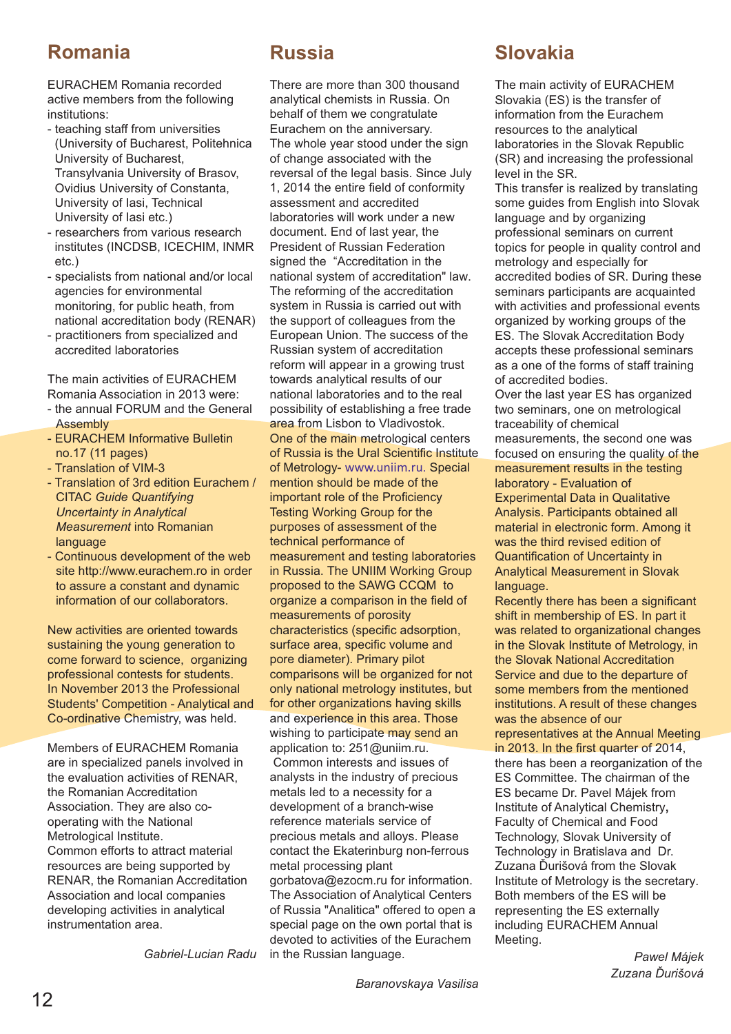## **Romania**

EURACHEM Romania recorded active members from the following institutions:

- teaching staff from universities (University of Bucharest, Politehnica University of Bucharest, Transylvania University of Brasov, Ovidius University of Constanta, University of Iasi, Technical University of Iasi etc.)
- researchers from various research institutes (INCDSB, ICECHIM, INMR etc.)
- specialists from national and/or local agencies for environmental monitoring, for public heath, from national accreditation body (RENAR)
- practitioners from specialized and accredited laboratories

The main activities of EURACHEM Romania Association in 2013 were:

- the annual FORUM and the General Assembly
- EURACHEM Informative Bulletin no.17 (11 pages)
- Translation of VIM-3
- Translation of 3rd edition Eurachem / CITAC *Guide Quantifying Uncertainty in Analytical Measurement* into Romanian language
- Continuous development of the web site http://www.eurachem.ro in order to assure a constant and dynamic information of our collaborators.

New activities are oriented towards sustaining the young generation to come forward to science, organizing professional contests for students. In November 2013 the Professional Students' Competition - Analytical and Co-ordinative Chemistry, was held.

Members of EURACHEM Romania are in specialized panels involved in the evaluation activities of RENAR, the Romanian Accreditation Association. They are also cooperating with the National Metrological Institute. Common efforts to attract material resources are being supported by RENAR, the Romanian Accreditation Association and local companies developing activities in analytical instrumentation area.

*Gabriel-Lucian Radu*

# **Russia**

There are more than 300 thousand analytical chemists in Russia. On behalf of them we congratulate Eurachem on the anniversary. The whole year stood under the sign of change associated with the reversal of the legal basis. Since July 1, 2014 the entire field of conformity assessment and accredited laboratories will work under a new document. End of last year, the President of Russian Federation signed the "Accreditation in the national system of accreditation" law. The reforming of the accreditation system in Russia is carried out with the support of colleagues from the European Union. The success of the Russian system of accreditation reform will appear in a growing trust towards analytical results of our national laboratories and to the real possibility of establishing a free trade area from Lisbon to Vladivostok. One of the main metrological centers of Russia is the Ural Scientific Institute of Metrology- www.uniim.ru. Special mention should be made of the important role of the Proficiency Testing Working Group for the purposes of assessment of the technical performance of measurement and testing laboratories in Russia. The UNIIM Working Group proposed to the SAWG CCQM to organize a comparison in the field of measurements of porosity characteristics (specific adsorption, surface area, specific volume and pore diameter). Primary pilot comparisons will be organized for not only national metrology institutes, but for other organizations having skills and experience in this area. Those wishing to participate may send an application to: 251@uniim.ru. Common interests and issues of analysts in the industry of precious metals led to a necessity for a development of a branch-wise reference materials service of precious metals and alloys. Please contact the Ekaterinburg non-ferrous metal processing plant gorbatova@ezocm.ru for information. The Association of Analytical Centers of Russia "Analitica" offered to open a special page on the own portal that is devoted to activities of the Eurachem in the Russian language.

# **Slovakia**

The main activity of EURACHEM Slovakia (ES) is the transfer of information from the Eurachem resources to the analytical laboratories in the Slovak Republic (SR) and increasing the professional level in the SR.

This transfer is realized by translating some guides from English into Slovak language and by organizing professional seminars on current topics for people in quality control and metrology and especially for accredited bodies of SR. During these seminars participants are acquainted with activities and professional events organized by working groups of the ES. The Slovak Accreditation Body accepts these professional seminars as a one of the forms of staff training of accredited bodies.

Over the last year ES has organized two seminars, one on metrological traceability of chemical measurements, the second one was focused on ensuring the quality of the measurement results in the testing laboratory - Evaluation of Experimental Data in Qualitative Analysis. Participants obtained all material in electronic form. Among it was the third revised edition of Quantification of Uncertainty in Analytical Measurement in Slovak language.

Recently there has been a significant shift in membership of ES. In part it was related to organizational changes in the Slovak Institute of Metrology, in the Slovak National Accreditation Service and due to the departure of some members from the mentioned institutions. A result of these changes was the absence of our

representatives at the Annual Meeting in 2013. In the first quarter of 2014,

there has been a reorganization of the ES Committee. The chairman of the ES became Dr. Pavel Májek from Institute of Analytical Chemistry**,** Faculty of Chemical and Food Technology, Slovak University of Technology in Bratislava and Dr. Zuzana Ďurišová from the Slovak Institute of Metrology is the secretary. Both members of the ES will be representing the ES externally including EURACHEM Annual Meeting.

> *Pawel Májek Zuzana Ďurišová*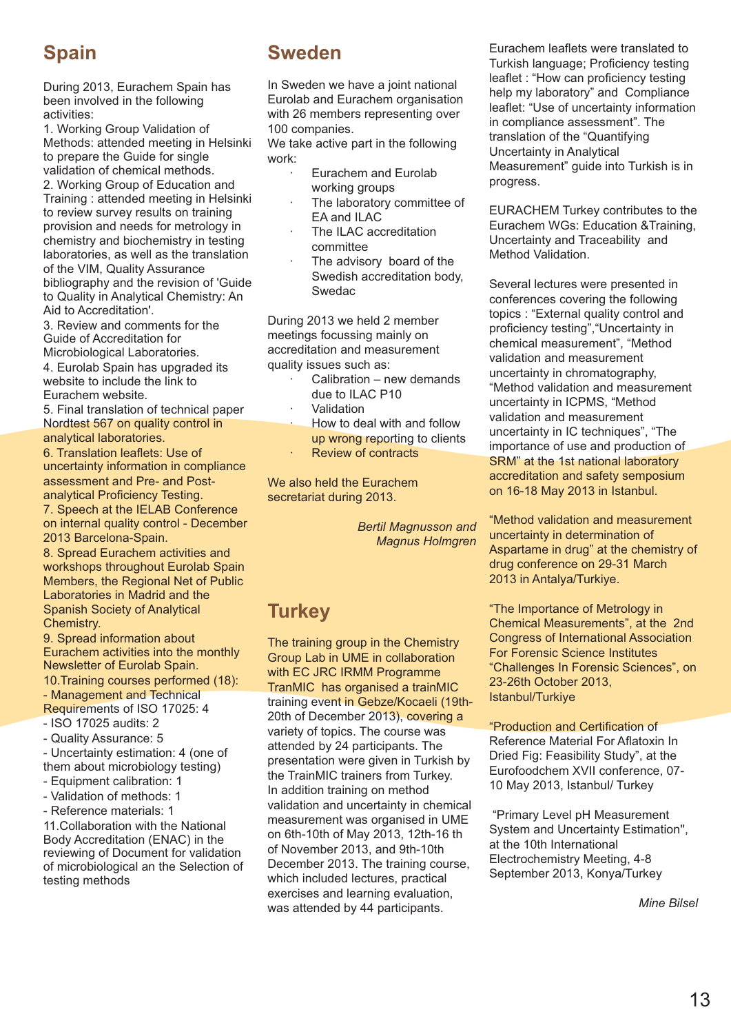# **Spain**

During 2013, Eurachem Spain has been involved in the following activities:

1. Working Group Validation of Methods: attended meeting in Helsinki to prepare the Guide for single validation of chemical methods. 2. Working Group of Education and Training : attended meeting in Helsinki to review survey results on training provision and needs for metrology in chemistry and biochemistry in testing laboratories, as well as the translation of the VIM, Quality Assurance bibliography and the revision of 'Guide

to Quality in Analytical Chemistry: An Aid to Accreditation'. 3. Review and comments for the

Guide of Accreditation for Microbiological Laboratories. 4. Eurolab Spain has upgraded its website to include the link to Eurachem website.

5. Final translation of technical paper Nordtest 567 on quality control in analytical laboratories.

6. Translation leaflets: Use of uncertainty information in compliance assessment and Pre- and Postanalytical Proficiency Testing. 7. Speech at the IELAB Conference

on internal quality control - December 2013 Barcelona-Spain.

8. Spread Eurachem activities and workshops throughout Eurolab Spain Members, the Regional Net of Public Laboratories in Madrid and the Spanish Society of Analytical Chemistry.

9. Spread information about Eurachem activities into the monthly Newsletter of Eurolab Spain.

10.Training courses performed (18): - Management and Technical

Requirements of ISO 17025: 4 - ISO 17025 audits: 2

- Quality Assurance: 5

- Uncertainty estimation: 4 (one of them about microbiology testing)

- Equipment calibration: 1
- Validation of methods: 1
- Reference materials: 1

11.Collaboration with the National Body Accreditation (ENAC) in the reviewing of Document for validation of microbiological an the Selection of testing methods

# **Sweden**

In Sweden we have a joint national Eurolab and Eurachem organisation with 26 members representing over 100 companies.

We take active part in the following work:

- Eurachem and Eurolab working groups
- The laboratory committee of EA and ILAC
- The ILAC accreditation committee
- The advisory board of the Swedish accreditation body, Swedac

During 2013 we held 2 member meetings focussing mainly on accreditation and measurement quality issues such as:

- Calibration new demands due to ILAC P10
- **Validation** 
	- · How to deal with and follow up wrong reporting to clients
	- **Review of contracts**

We also held the Eurachem

secretariat during 2013.

*Bertil Magnusson and Magnus Holmgren*

# **Turkey**

The training group in the Chemistry Group Lab in UME in collaboration with EC JRC IRMM Programme TranMIC has organised a trainMIC training event in Gebze/Kocaeli (19th-20th of December 2013), covering a variety of topics. The course was attended by 24 participants. The presentation were given in Turkish by the TrainMIC trainers from Turkey. In addition training on method validation and uncertainty in chemical measurement was organised in UME on 6th-10th of May 2013, 12th-16 th of November 2013, and 9th-10th December 2013. The training course, which included lectures, practical exercises and learning evaluation, was attended by 44 participants.

Eurachem leaflets were translated to Turkish language; Proficiency testing leaflet : "How can proficiency testing help my laboratory" and Compliance leaflet: "Use of uncertainty information in compliance assessment". The translation of the "Quantifying Uncertainty in Analytical Measurement" quide into Turkish is in progress.

EURACHEM Turkey contributes to the Eurachem WGs: Education & Training. Uncertainty and Traceability and Method Validation.

Several lectures were presented in conferences covering the following topics : "External quality control and proficiency testing", "Uncertainty in chemical measurement", "Method validation and measurement uncertainty in chromatography, "Method validation and measurement uncertainty in ICPMS, "Method validation and measurement uncertainty in IC techniques", "The importance of use and production of SRM" at the 1st national laboratory accreditation and safety semposium on 16-18 May 2013 in Istanbul.

"Method validation and measurement uncertainty in determination of Aspartame in drug" at the chemistry of drug conference on 29-31 March 2013 in Antalya/Turkiye.

"The Importance of Metrology in Chemical Measurements", at the 2nd Congress of International Association For Forensic Science Institutes "Challenges In Forensic Sciences", on 23-26th October 2013, Istanbul/Turkiye

"Production and Certification of Reference Material For Aflatoxin In Dried Fig: Feasibility Study", at the Eurofoodchem XVII conference, 07- 10 May 2013, Istanbul/ Turkey

"Primary Level pH Measurement System and Uncertainty Estimation'', at the 10th International Electrochemistry Meeting, 4-8 September 2013, Konya/Turkey

*Mine Bilsel*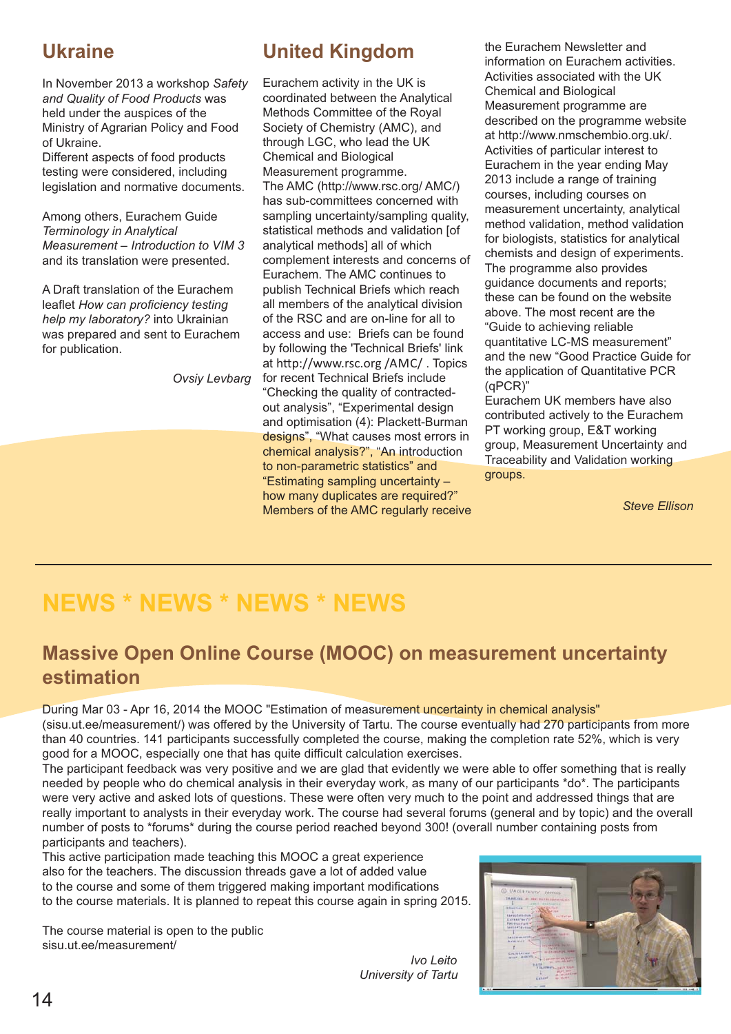# **Ukraine**

In November 2013 a workshop *Safety and Quality of Food Products* was held under the auspices of the Ministry of Agrarian Policy and Food of Ukraine.

Different aspects of food products testing were considered, including legislation and normative documents.

Among others, Eurachem Guide *Terminology in Analytical Measurement – Introduction to VIM 3* and its translation were presented.

A Draft translation of the Eurachem leaflet *How can proficiency testing help my laboratory?* into Ukrainian was prepared and sent to Eurachem for publication.

*Ovsiy Levbarg*

# **United Kingdom**

Eurachem activity in the UK is coordinated between the Analytical Methods Committee of the Royal Society of Chemistry (AMC), and through LGC, who lead the UK Chemical and Biological Measurement programme. The AMC (http://www.rsc.org/ AMC/) has sub-committees concerned with sampling uncertainty/sampling quality, statistical methods and validation [of analytical methods] all of which complement interests and concerns of Eurachem. The AMC continues to publish Technical Briefs which reach all members of the analytical division of the RSC and are on-line for all to access and use: Briefs can be found by following the 'Technical Briefs' link at http://www.rsc.org /AMC/. Topics for recent Technical Briefs include "Checking the quality of contractedout analysis", "Experimental design and optimisation (4): Plackett-Burman designs", "What causes most errors in chemical analysis?", "An introduction to non-parametric statistics" and "Estimating sampling uncertainty – how many duplicates are required?" Members of the AMC regularly receive the Eurachem Newsletter and information on Eurachem activities. Activities associated with the UK Chemical and Biological Measurement programme are described on the programme website at http://www.nmschembio.org.uk/. Activities of particular interest to Eurachem in the year ending May 2013 include a range of training courses, including courses on measurement uncertainty, analytical method validation, method validation for biologists, statistics for analytical chemists and design of experiments. The programme also provides guidance documents and reports; these can be found on the website above. The most recent are the "Guide to achieving reliable quantitative LC-MS measurement" and the new "Good Practice Guide for the application of Quantitative PCR (qPCR)"

Eurachem UK members have also contributed actively to the Eurachem PT working group, E&T working group, Measurement Uncertainty and Traceability and Validation working groups.

*Steve Ellison*

# **NEWS \* NEWS \* NEWS \* NEWS**

# **Massive Open Online Course (MOOC) on measurement uncertainty estimation**

During Mar 03 - Apr 16, 2014 the MOOC "Estimation of measurement uncertainty in chemical analysis" (sisu.ut.ee/measurement/) was offered by the University of Tartu. The course eventually had 270 participants from more than 40 countries. 141 participants successfully completed the course, making the completion rate 52%, which is very good for a MOOC, especially one that has quite difficult calculation exercises.

The participant feedback was very positive and we are glad that evidently we were able to offer something that is really needed by people who do chemical analysis in their everyday work, as many of our participants \*do\*. The participants were very active and asked lots of questions. These were often very much to the point and addressed things that are really important to analysts in their everyday work. The course had several forums (general and by topic) and the overall number of posts to \*forums\* during the course period reached beyond 300! (overall number containing posts from participants and teachers).

This active participation made teaching this MOOC a great experience also for the teachers. The discussion threads gave a lot of added value to the course and some of them triggered making important modifications to the course materials. It is planned to repeat this course again in spring 2015.

The course material is open to the public sisu.ut.ee/measurement/

*Ivo Leito University of Tartu*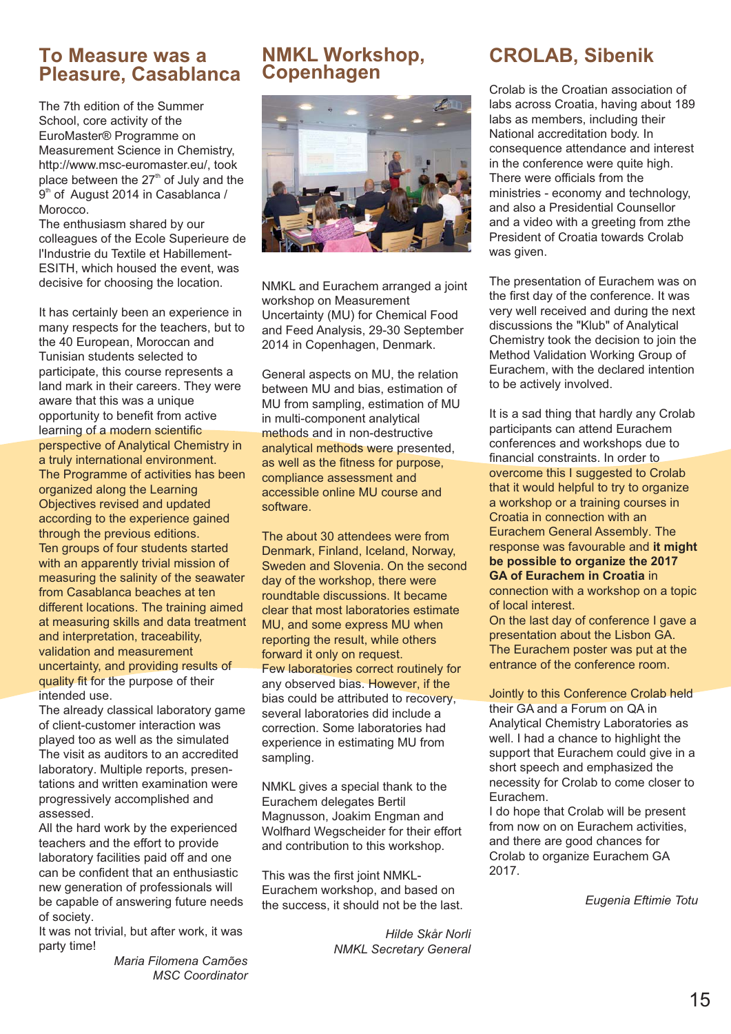#### **To Measure was a Pleasure, Casablanca**

The 7th edition of the Summer School, core activity of the EuroMaster® Programme on Measurement Science in Chemistry, http://www.msc-euromaster.eu/, took place between the  $27<sup>th</sup>$  of July and the 9<sup>th</sup> of August 2014 in Casablanca / Morocco.

The enthusiasm shared by our colleagues of the Ecole Superieure de l'Industrie du Textile et Habillement-ESITH, which housed the event, was decisive for choosing the location.

It has certainly been an experience in many respects for the teachers, but to the 40 European, Moroccan and Tunisian students selected to participate, this course represents a land mark in their careers. They were aware that this was a unique opportunity to benefit from active learning of a modern scientific perspective of Analytical Chemistry in a truly international environment. The Programme of activities has been organized along the Learning Objectives revised and updated according to the experience gained through the previous editions. Ten groups of four students started with an apparently trivial mission of measuring the salinity of the seawater from Casablanca beaches at ten different locations. The training aimed at measuring skills and data treatment and interpretation, traceability, validation and measurement uncertainty, and providing results of quality fit for the purpose of their intended use.

The already classical laboratory game of client-customer interaction was played too as well as the simulated The visit as auditors to an accredited laboratory. Multiple reports, presentations and written examination were progressively accomplished and assessed.

All the hard work by the experienced teachers and the effort to provide laboratory facilities paid off and one can be confident that an enthusiastic new generation of professionals will be capable of answering future needs of society.

It was not trivial, but after work, it was party time!

*Maria Filomena Camões MSC Coordinator*

# **NMKL Workshop, Copenhagen**



NMKL and Eurachem arranged a joint workshop on Measurement Uncertainty (MU) for Chemical Food and Feed Analysis, 29-30 September 2014 in Copenhagen, Denmark.

General aspects on MU, the relation between MU and bias, estimation of MU from sampling, estimation of MU in multi-component analytical methods and in non-destructive analytical methods were presented, as well as the fitness for purpose. compliance assessment and accessible online MU course and software.

The about 30 attendees were from Denmark, Finland, Iceland, Norway, Sweden and Slovenia. On the second day of the workshop, there were roundtable discussions. It became clear that most laboratories estimate MU, and some express MU when reporting the result, while others forward it only on request. Few laboratories correct routinely for any observed bias. However, if the bias could be attributed to recovery. several laboratories did include a correction. Some laboratories had experience in estimating MU from sampling.

NMKL gives a special thank to the Eurachem delegates Bertil Magnusson, Joakim Engman and Wolfhard Wegscheider for their effort and contribution to this workshop.

This was the first joint NMKL-Eurachem workshop, and based on the success, it should not be the last.

> *Hilde Skår Norli NMKL Secretary General*

# **CROLAB, Sibenik**

Crolab is the Croatian association of labs across Croatia, having about 189 labs as members, including their National accreditation body. In consequence attendance and interest in the conference were quite high. There were officials from the ministries - economy and technology, and also a Presidential Counsellor and a video with a greeting from zthe President of Croatia towards Crolab was given.

The presentation of Eurachem was on the first day of the conference. It was very well received and during the next discussions the "Klub" of Analytical Chemistry took the decision to join the Method Validation Working Group of Eurachem, with the declared intention to be actively involved.

It is a sad thing that hardly any Crolab participants can attend Eurachem conferences and workshops due to financial constraints. In order to overcome this I suggested to Crolab that it would helpful to try to organize a workshop or a training courses in Croatia in connection with an Eurachem General Assembly. The response was favourable and **it might be possible to organize the 2017 GA of Eurachem in Croatia** in connection with a workshop on a topic of local interest.

On the last day of conference I gave a presentation about the Lisbon GA. The Eurachem poster was put at the entrance of the conference room.

#### Jointly to this Conference Crolab held

their GA and a Forum on QA in Analytical Chemistry Laboratories as well. I had a chance to highlight the support that Eurachem could give in a short speech and emphasized the necessity for Crolab to come closer to Eurachem.

I do hope that Crolab will be present from now on on Eurachem activities. and there are good chances for Crolab to organize Eurachem GA 2017.

*Eugenia Eftimie Totu*